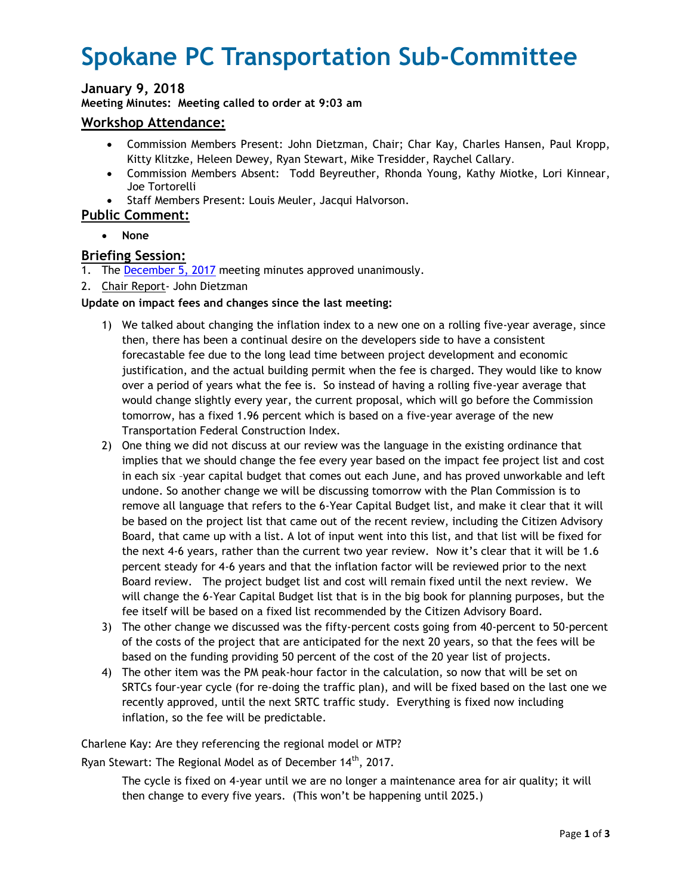# **Spokane PC Transportation Sub-Committee**

# **January 9, 2018**

**Meeting Minutes: Meeting called to order at 9:03 am**

#### **Workshop Attendance:**

- Commission Members Present: John Dietzman, Chair; Char Kay, Charles Hansen, Paul Kropp, Kitty Klitzke, Heleen Dewey, Ryan Stewart, Mike Tresidder, Raychel Callary.
- Commission Members Absent: Todd Beyreuther, Rhonda Young, Kathy Miotke, Lori Kinnear, Joe Tortorelli
- Staff Members Present: Louis Meuler, Jacqui Halvorson.

## **Public Comment:**

**None** 

## **Briefing Session:**

- 1. The December 5, 2017 meeting minutes approved unanimously.
- 2. Chair Report- John Dietzman

#### **Update on impact fees and changes since the last meeting:**

- 1) We talked about changing the inflation index to a new one on a rolling five-year average, since then, there has been a continual desire on the developers side to have a consistent forecastable fee due to the long lead time between project development and economic justification, and the actual building permit when the fee is charged. They would like to know over a period of years what the fee is. So instead of having a rolling five-year average that would change slightly every year, the current proposal, which will go before the Commission tomorrow, has a fixed 1.96 percent which is based on a five-year average of the new Transportation Federal Construction Index.
- 2) One thing we did not discuss at our review was the language in the existing ordinance that implies that we should change the fee every year based on the impact fee project list and cost in each six –year capital budget that comes out each June, and has proved unworkable and left undone. So another change we will be discussing tomorrow with the Plan Commission is to remove all language that refers to the 6-Year Capital Budget list, and make it clear that it will be based on the project list that came out of the recent review, including the Citizen Advisory Board, that came up with a list. A lot of input went into this list, and that list will be fixed for the next 4-6 years, rather than the current two year review. Now it's clear that it will be 1.6 percent steady for 4-6 years and that the inflation factor will be reviewed prior to the next Board review. The project budget list and cost will remain fixed until the next review. We will change the 6-Year Capital Budget list that is in the big book for planning purposes, but the fee itself will be based on a fixed list recommended by the Citizen Advisory Board.
- 3) The other change we discussed was the fifty-percent costs going from 40-percent to 50-percent of the costs of the project that are anticipated for the next 20 years, so that the fees will be based on the funding providing 50 percent of the cost of the 20 year list of projects.
- 4) The other item was the PM peak-hour factor in the calculation, so now that will be set on SRTCs four-year cycle (for re-doing the traffic plan), and will be fixed based on the last one we recently approved, until the next SRTC traffic study. Everything is fixed now including inflation, so the fee will be predictable.

Charlene Kay: Are they referencing the regional model or MTP?

Ryan Stewart: The Regional Model as of December 14<sup>th</sup>, 2017.

The cycle is fixed on 4-year until we are no longer a maintenance area for air quality; it will then change to every five years. (This won't be happening until 2025.)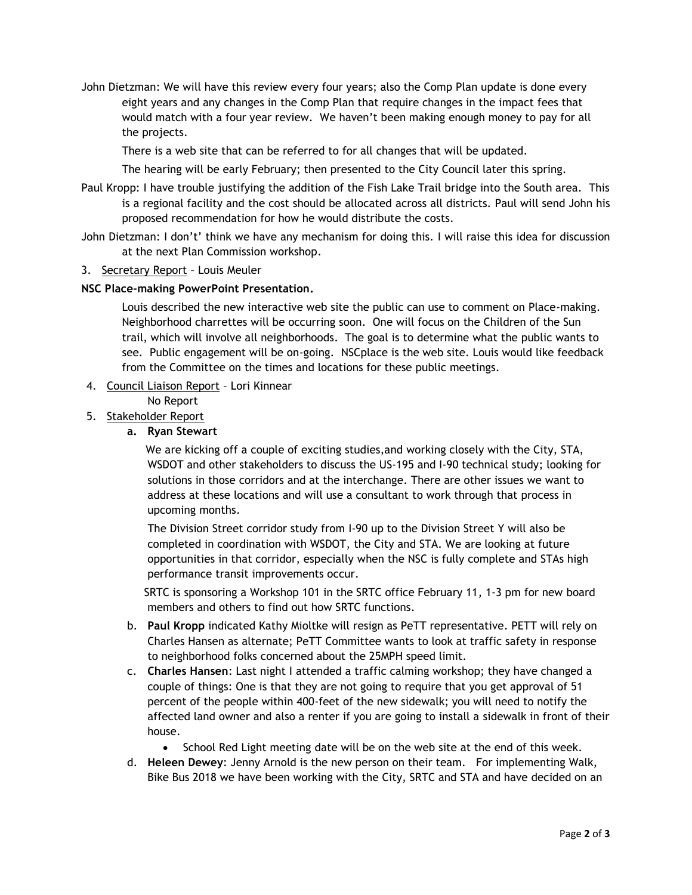John Dietzman: We will have this review every four years; also the Comp Plan update is done every eight years and any changes in the Comp Plan that require changes in the impact fees that would match with a four year review. We haven't been making enough money to pay for all the projects.

There is a web site that can be referred to for all changes that will be updated.

The hearing will be early February; then presented to the City Council later this spring.

- Paul Kropp: I have trouble justifying the addition of the Fish Lake Trail bridge into the South area. This is a regional facility and the cost should be allocated across all districts*.* Paul will send John his proposed recommendation for how he would distribute the costs.
- John Dietzman: I don't' think we have any mechanism for doing this. I will raise this idea for discussion at the next Plan Commission workshop.
- 3. Secretary Report Louis Meuler

#### **NSC Place-making PowerPoint Presentation.**

Louis described the new interactive web site the public can use to comment on Place-making. Neighborhood charrettes will be occurring soon. One will focus on the Children of the Sun trail, which will involve all neighborhoods. The goal is to determine what the public wants to see. Public engagement will be on-going. NSCplace is the web site. Louis would like feedback from the Committee on the times and locations for these public meetings.

4. Council Liaison Report – Lori Kinnear

No Report

- 5. Stakeholder Report
	- **a. Ryan Stewart**

 We are kicking off a couple of exciting studies,and working closely with the City, STA, WSDOT and other stakeholders to discuss the US-195 and I-90 technical study; looking for solutions in those corridors and at the interchange. There are other issues we want to address at these locations and will use a consultant to work through that process in upcoming months.

 The Division Street corridor study from I-90 up to the Division Street Y will also be completed in coordination with WSDOT, the City and STA. We are looking at future opportunities in that corridor, especially when the NSC is fully complete and STAs high performance transit improvements occur.

 SRTC is sponsoring a Workshop 101 in the SRTC office February 11, 1-3 pm for new board members and others to find out how SRTC functions.

- b. **Paul Kropp** indicated Kathy Mioltke will resign as PeTT representative. PETT will rely on Charles Hansen as alternate; PeTT Committee wants to look at traffic safety in response to neighborhood folks concerned about the 25MPH speed limit.
- c. **Charles Hansen**: Last night I attended a traffic calming workshop; they have changed a couple of things: One is that they are not going to require that you get approval of 51 percent of the people within 400-feet of the new sidewalk; you will need to notify the affected land owner and also a renter if you are going to install a sidewalk in front of their house.
	- School Red Light meeting date will be on the web site at the end of this week.
- d. **Heleen Dewey**: Jenny Arnold is the new person on their team. For implementing Walk, Bike Bus 2018 we have been working with the City, SRTC and STA and have decided on an